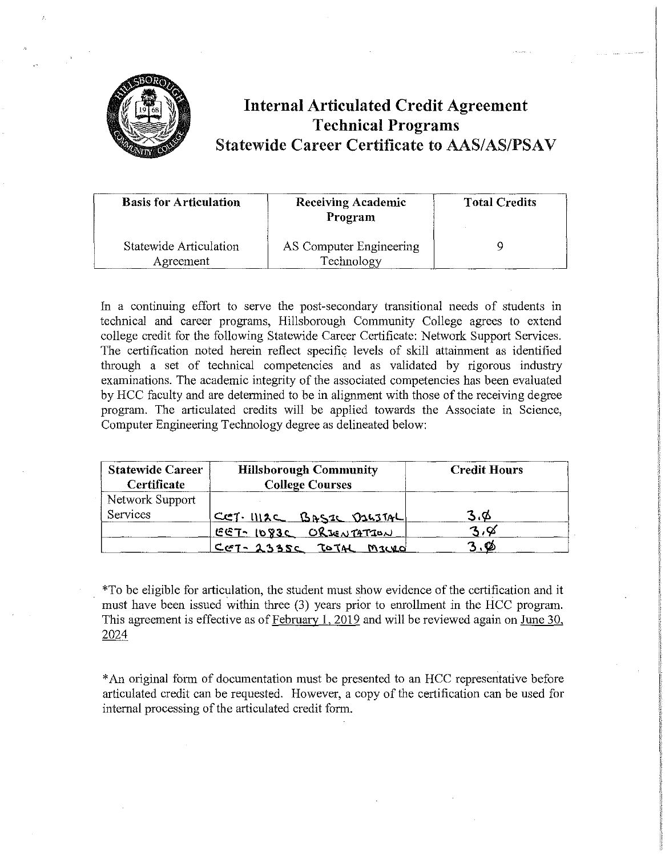

## **Internal Articulated Credit Agreement Technical Programs Statewide Career Certificate to AAS/AS/PSAV**

| <b>Basis for Articulation</b>       | <b>Receiving Academic</b><br>Program  | <b>Total Credits</b> |
|-------------------------------------|---------------------------------------|----------------------|
| Statewide Articulation<br>Agreement | AS Computer Engineering<br>Technology |                      |

In a continuing effort to serve the post-secondary transitional needs of students in technical and career programs, Hillsborough Community College agrees to extend college credit for the following Statewide Career Certificate: Network Support Services. The certification noted herein reflect specific levels of skill attainment as identified through a set of teclmical competencies and as validated by rigorous industry examinations. The academic integrity of the associated competencies has been evaluated by HCC faculty and are determined to be in alignment with those of the receiving degree program. The articulated credits will be applied towards the Associate in Science, Computer Engineering Technology degree as delineated below:

| <b>Statewide Career</b><br>Certificate | <b>Hillsborough Community</b><br><b>College Courses</b> | <b>Credit Hours</b> |  |
|----------------------------------------|---------------------------------------------------------|---------------------|--|
| Network Support<br>Services            | CET. IIIZC BASIC DILITAL                                | 3.Φ                 |  |
|                                        | EET-1083C ORJENTATION                                   | 3,8                 |  |
|                                        | CET-2335C TOTAL Macro                                   | Ø                   |  |

\*To be eligible for articulation, the student must show evidence of the certification and it must have been issued within three (3) years prior to enrollment in the HCC program. This agreement is effective as of February 1, 2019 and will be reviewed again on June 30, 2024

\*An original form of documentation must be presented to an HCC representative before articulated credit can be requested. However, a copy of the certification can be used for internal processing of the articulated credit form.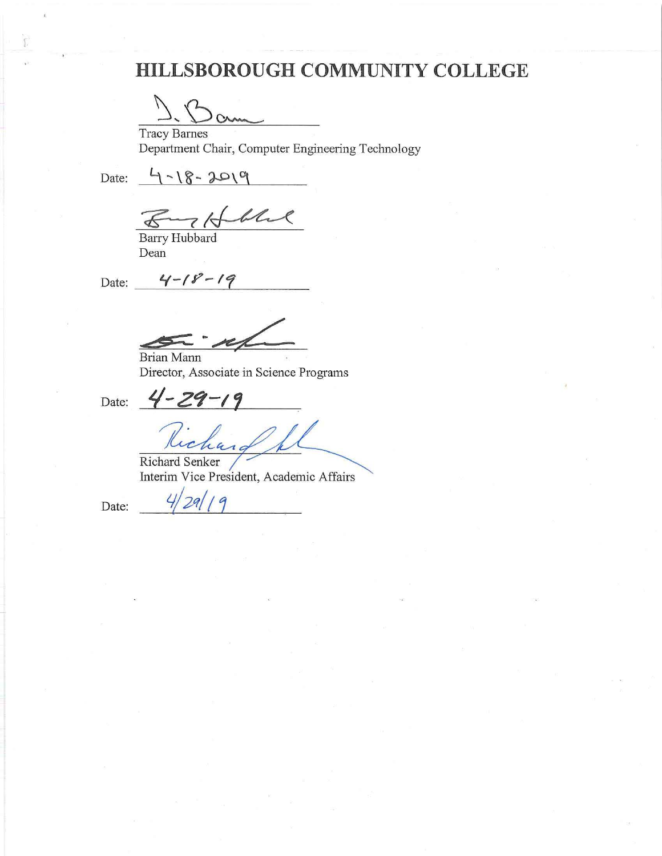# **HILLSBOROUGH COMMUNITY COLLEGE**

 $\Omega$ 

Tracy Barnes Department Chair, Computer Engineering Technology

 $Date: 4 - 18 - 2019$ 

4-18-2019<br><u>Franklich</u><br>Barry Hubbard

Dean

Date:  $4 - 18 - 19$ 

 $\frac{1}{\sqrt{1-\frac{1}{1-\frac{1}{1-\frac{1}{1-\frac{1}{1-\frac{1}{1-\frac{1}{1-\frac{1}{1-\frac{1}{1-\frac{1}{1-\frac{1}{1-\frac{1}{1-\frac{1}{1-\frac{1}{1-\frac{1}{1-\frac{1}{1-\frac{1}{1-\frac{1}{1-\frac{1}{1-\frac{1}{1-\frac{1}{1-\frac{1}{1-\frac{1}{1-\frac{1}{1-\frac{1}{1-\frac{1}{1-\frac{1}{1-\frac{1}{1-\frac{1}{1-\frac{1}{1-\frac{1}{1-\frac{1}{1-\frac{1}{1-\frac{1}{1-\frac{1}{1-\frac{1}{1-\$ 

Brian Mann Director, Associate in Science Programs

Date:  $4 - 29 - 19$ Kichard

Richard Senker Interim Vice President, Academic Affairs

Date:  $\frac{4}{29/19}$